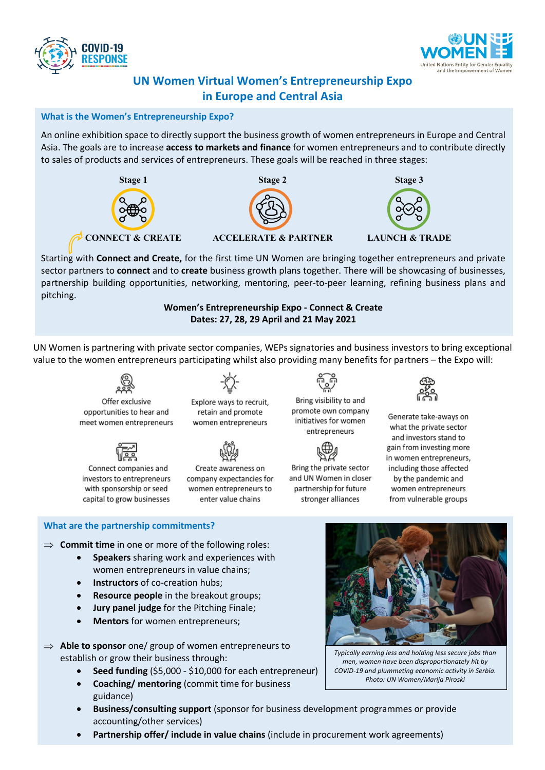



# **UN Women Virtual Women's Entrepreneurship Expo in Europe and Central Asia**

## **What is the Women's Entrepreneurship Expo?**

An online exhibition space to directly support the business growth of women entrepreneurs in Europe and Central Asia. The goals are to increase **access to markets and finance** for women entrepreneurs and to contribute directly to sales of products and services of entrepreneurs. These goals will be reached in three stages:



Starting with **Connect and Create,** for the first time UN Women are bringing together entrepreneurs and private sector partners to **connect** and to **create** business growth plans together. There will be showcasing of businesses, partnership building opportunities, networking, mentoring, peer-to-peer learning, refining business plans and pitching.

> **Women's Entrepreneurship Expo - Connect & Create Dates: 27, 28, 29 April and 21 May 2021**

UN Women is partnering with private sector companies, WEPs signatories and business investors to bring exceptional value to the women entrepreneurs participating whilst also providing many benefits for partners – the Expo will:

Offer exclusive opportunities to hear and meet women entrepreneurs



Connect companies and investors to entrepreneurs with sponsorship or seed capital to grow businesses



Explore ways to recruit, retain and promote women entrepreneurs



Create awareness on company expectancies for women entrepreneurs to enter value chains



initiatives for women entrepreneurs



Bring the private sector and UN Women in closer partnership for future stronger alliances



Generate take-aways on what the private sector and investors stand to gain from investing more in women entrepreneurs, including those affected by the pandemic and women entrepreneurs from vulnerable groups

### **What are the partnership commitments?**

- $\Rightarrow$  **Commit time** in one or more of the following roles:
	- **Speakers** sharing work and experiences with women entrepreneurs in value chains;
	- **Instructors** of co-creation hubs;
	- **Resource people** in the breakout groups;
	- **Jury panel judge** for the Pitching Finale;
	- **Mentors** for women entrepreneurs;
- $\Rightarrow$  Able to sponsor one/ group of women entrepreneurs to establish or grow their business through:
	- **Seed funding** (\$5,000 \$10,000 for each entrepreneur)
	- **Coaching/ mentoring** (commit time for business guidance)
	- **Business/consulting support** (sponsor for business development programmes or provide accounting/other services)
	- **Partnership offer/ include in value chains** (include in procurement work agreements)



*Typically earning less and holding less secure jobs than men, women have been disproportionately hit by COVID-19 and plummeting economic activity in Serbia. Photo: UN Women/Marija Piroski*